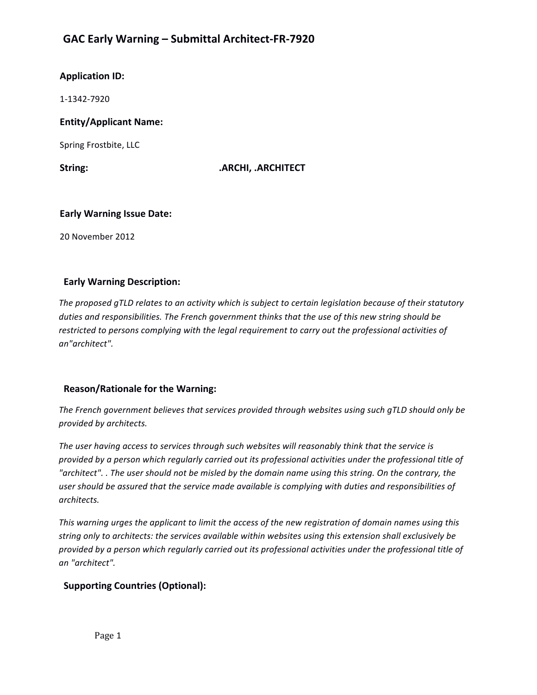# **GAC Early Warning – Submittal Architect-FR-7920**

# **Application ID:**

1-1342-7920 

# **Entity/Applicant Name:**

Spring Frostbite, LLC

String: **ARCHI, .ARCHITECT** 

### **Early Warning Issue Date:**

20 November 2012

# **Early Warning Description:**

The proposed qTLD relates to an activity which is subject to certain legislation because of their statutory duties and responsibilities. The French government thinks that the use of this new string should be restricted to persons complying with the legal requirement to carry out the professional activities of *an"architect".* 

# **Reason/Rationale for the Warning:**

The French government believes *that services* provided *through* websites using such gTLD should only be *provided by architects.* 

The user having access to services through such websites will reasonably think that the service is provided by a person which regularly carried out its professional activities under the professional title of "architect". . The user should not be misled by the domain name using this string. On the contrary, the user should be assured that the service made available is complying with duties and responsibilities of *architects.*

This warning urges the applicant to limit the access of the new registration of domain names using this string only to architects: the services available within websites using this extension shall exclusively be provided by a person which regularly carried out its professional activities under the professional title of *an "architect".* 

# **Supporting Countries (Optional):**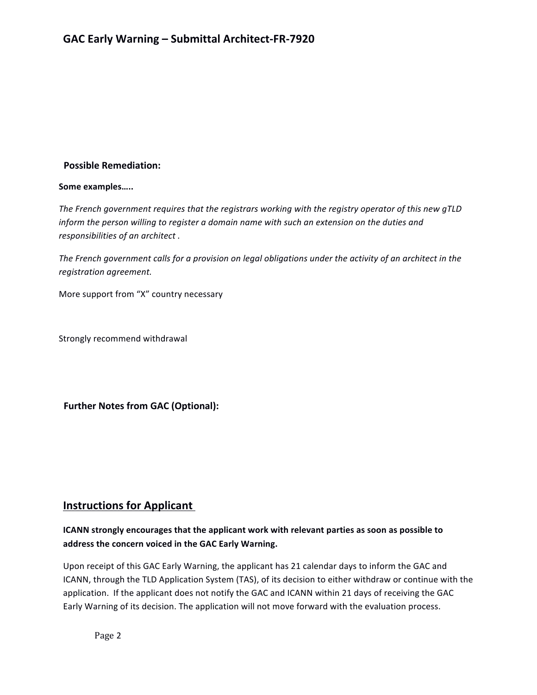# **Possible Remediation:**

#### Some examples.....

The French government requires that the registrars working with the registry operator of this new gTLD *inform* the person willing to register a domain name with such an extension on the duties and responsibilities of an architect.

The French government calls for a provision on legal obligations under the activity of an architect in the *registration agreement.*

More support from "X" country necessary

Strongly recommend withdrawal

**Further Notes from GAC (Optional):** 

# **Instructions for Applicant**

# **ICANN** strongly encourages that the applicant work with relevant parties as soon as possible to address the concern voiced in the GAC Early Warning.

Upon receipt of this GAC Early Warning, the applicant has 21 calendar days to inform the GAC and ICANN, through the TLD Application System (TAS), of its decision to either withdraw or continue with the application. If the applicant does not notify the GAC and ICANN within 21 days of receiving the GAC Early Warning of its decision. The application will not move forward with the evaluation process.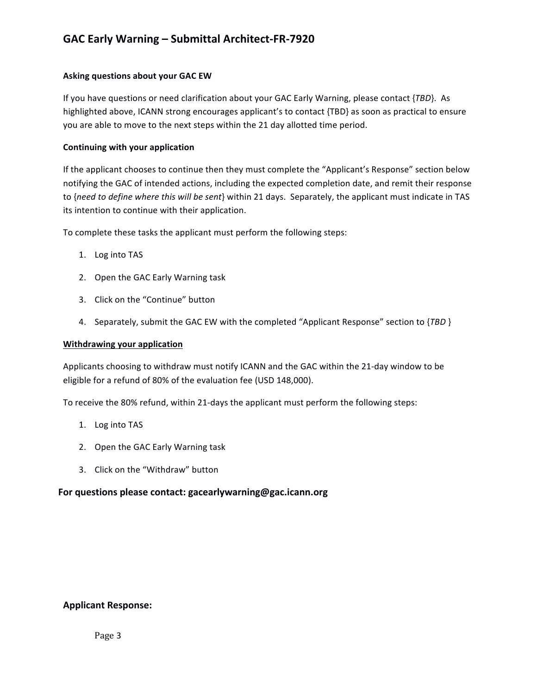### **Asking questions about your GAC EW**

If you have questions or need clarification about your GAC Early Warning, please contact {*TBD*}. As highlighted above, ICANN strong encourages applicant's to contact {TBD} as soon as practical to ensure you are able to move to the next steps within the 21 day allotted time period.

#### **Continuing with your application**

If the applicant chooses to continue then they must complete the "Applicant's Response" section below notifying the GAC of intended actions, including the expected completion date, and remit their response to {need to define where this will be sent} within 21 days. Separately, the applicant must indicate in TAS its intention to continue with their application.

To complete these tasks the applicant must perform the following steps:

- 1. Log into TAS
- 2. Open the GAC Early Warning task
- 3. Click on the "Continue" button
- 4. Separately, submit the GAC EW with the completed "Applicant Response" section to {TBD }

#### **Withdrawing your application**

Applicants choosing to withdraw must notify ICANN and the GAC within the 21-day window to be eligible for a refund of 80% of the evaluation fee (USD 148,000).

To receive the 80% refund, within 21-days the applicant must perform the following steps:

- 1. Log into TAS
- 2. Open the GAC Early Warning task
- 3. Click on the "Withdraw" button

# For questions please contact: gacearlywarning@gac.icann.org

# **Applicant Response:**

Page 3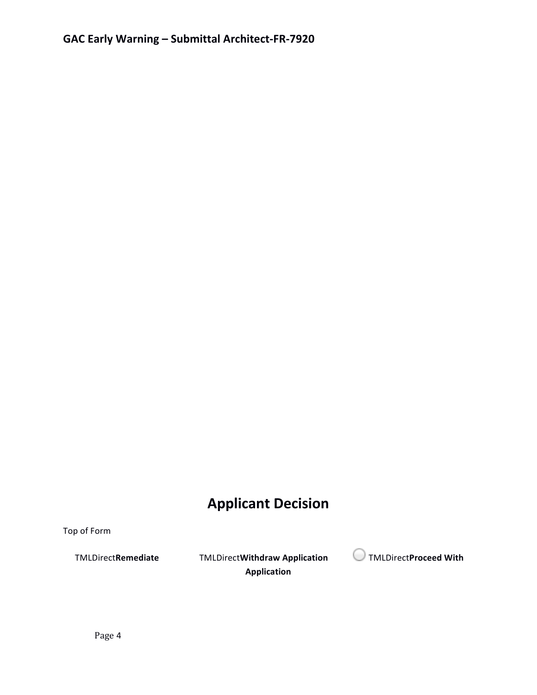# **Applicant Decision**

Top of Form

**Application**